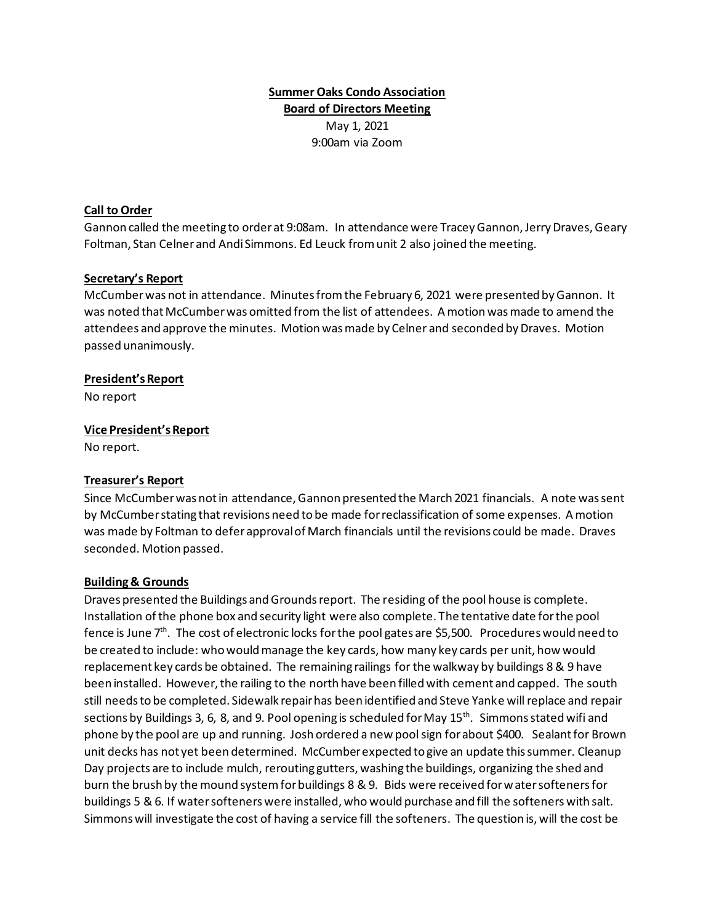# **Summer Oaks Condo Association Board of Directors Meeting** May 1, 2021 9:00am via Zoom

### **Call to Order**

Gannon called the meeting to order at 9:08am. In attendance were Tracey Gannon, Jerry Draves, Geary Foltman, Stan Celner and Andi Simmons. Ed Leuck from unit 2 also joined the meeting.

### **Secretary's Report**

McCumber was not in attendance. Minutes from the February 6, 2021 were presented by Gannon. It was noted that McCumber was omitted from the list of attendees. A motion was made to amend the attendees and approve the minutes. Motion was made by Celner and seconded by Draves. Motion passed unanimously.

### **President's Report**

No report

### **Vice President'sReport**

No report.

### **Treasurer's Report**

Since McCumber was not in attendance, Gannon presented the March 2021 financials. A note was sent by McCumber stating that revisions need to be made for reclassification of some expenses. A motion was made by Foltman to defer approval of March financials until the revisions could be made. Draves seconded. Motion passed.

#### **Building & Grounds**

Draves presented the Buildings and Grounds report. The residing of the pool house is complete. Installation of the phone box and security light were also complete. The tentative date for the pool fence is June 7<sup>th</sup>. The cost of electronic locks for the pool gates are \$5,500. Procedures would need to be created to include: who would manage the key cards, how many key cards per unit, how would replacement key cards be obtained. The remaining railings for the walkway by buildings 8 & 9 have been installed. However, the railing to the north have been filled with cement and capped. The south still needs to be completed. Sidewalk repair has been identified and Steve Yanke will replace and repair sections by Buildings 3, 6, 8, and 9. Pool opening is scheduled for May 15<sup>th</sup>. Simmons stated wifi and phone by the pool are up and running. Josh ordered a new pool sign for about \$400. Sealant for Brown unit decks has not yet been determined. McCumber expected to give an update this summer. Cleanup Day projects are to include mulch, rerouting gutters, washing the buildings, organizing the shed and burn the brush by the mound system for buildings 8 & 9. Bids were received for water softenersfor buildings 5 & 6. If water softeners were installed, who would purchase and fill the softeners with salt. Simmons will investigate the cost of having a service fill the softeners. The question is, will the cost be